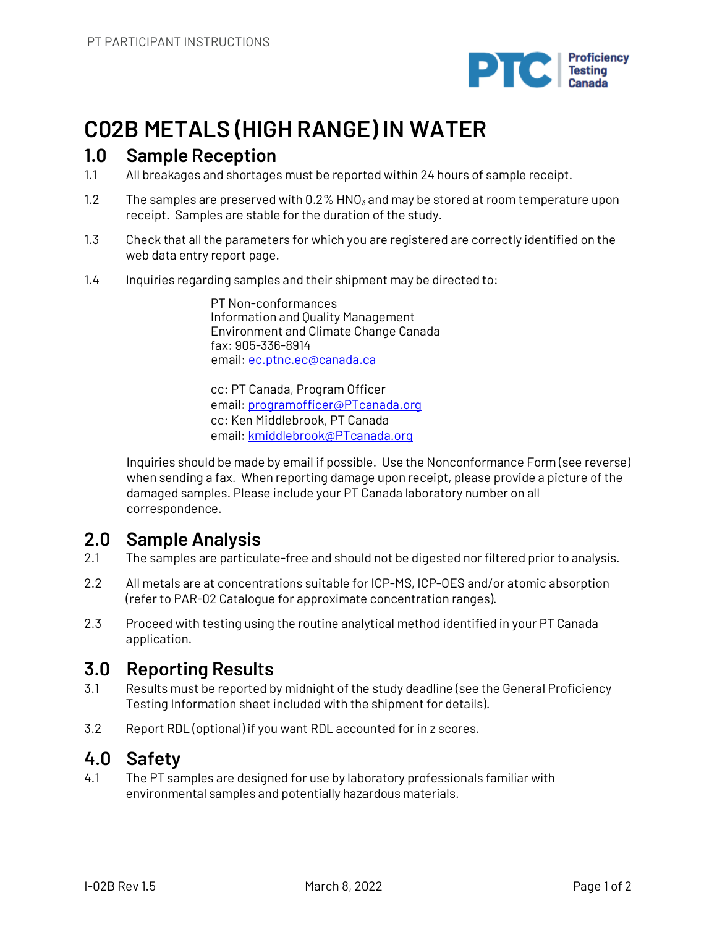

# **C02B METALS (HIGH RANGE) IN WATER**

### **1.0 Sample Reception**

- 1.1 All breakages and shortages must be reported within 24 hours of sample receipt.
- 1.2 The samples are preserved with  $0.2\%$  HNO<sub>3</sub> and may be stored at room temperature upon receipt. Samples are stable for the duration of the study.
- 1.3 Check that all the parameters for which you are registered are correctly identified on the web data entry report page.
- 1.4 Inquiries regarding samples and their shipment may be directed to:

PT Non-conformances Information and Quality Management Environment and Climate Change Canada fax: 905-336-8914 email: ec.ptnc.ec@canada.ca

cc: PT Canada, Program Officer email: programofficer@PTcanada.org cc: Ken Middlebrook, PT Canada email: kmiddlebrook@PTcanada.org

Inquiries should be made by email if possible. Use the Nonconformance Form (see reverse) when sending a fax. When reporting damage upon receipt, please provide a picture of the damaged samples. Please include your PT Canada laboratory number on all correspondence.

### **2.0 Sample Analysis**

- 2.1 The samples are particulate-free and should not be digested nor filtered prior to analysis.
- 2.2 All metals are at concentrations suitable for ICP-MS, ICP-OES and/or atomic absorption (refer to PAR-02 Catalogue for approximate concentration ranges).
- 2.3 Proceed with testing using the routine analytical method identified in your PT Canada application.

## **3.0 Reporting Results**

- 3.1 Results must be reported by midnight of the study deadline (see the General Proficiency Testing Information sheet included with the shipment for details).
- 3.2 Report RDL (optional) if you want RDL accounted for in z scores.

## **4.0 Safety**

4.1 The PT samples are designed for use by laboratory professionals familiar with environmental samples and potentially hazardous materials.